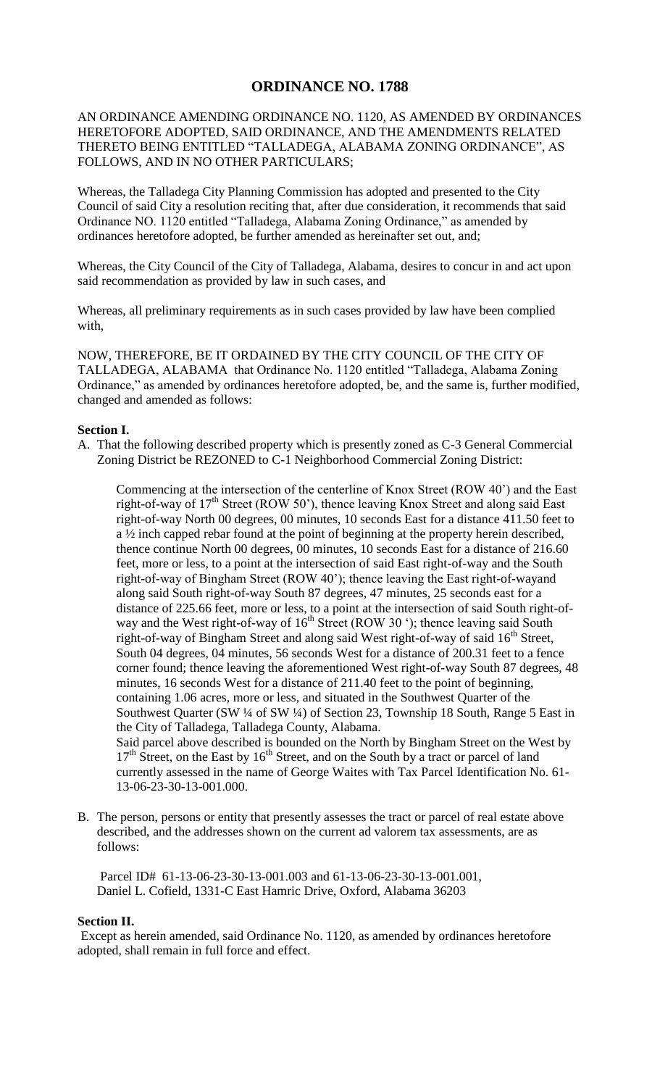## **ORDINANCE NO. 1788**

## AN ORDINANCE AMENDING ORDINANCE NO. 1120, AS AMENDED BY ORDINANCES HERETOFORE ADOPTED, SAID ORDINANCE, AND THE AMENDMENTS RELATED THERETO BEING ENTITLED "TALLADEGA, ALABAMA ZONING ORDINANCE", AS FOLLOWS, AND IN NO OTHER PARTICULARS;

Whereas, the Talladega City Planning Commission has adopted and presented to the City Council of said City a resolution reciting that, after due consideration, it recommends that said Ordinance NO. 1120 entitled "Talladega, Alabama Zoning Ordinance," as amended by ordinances heretofore adopted, be further amended as hereinafter set out, and;

Whereas, the City Council of the City of Talladega, Alabama, desires to concur in and act upon said recommendation as provided by law in such cases, and

Whereas, all preliminary requirements as in such cases provided by law have been complied with,

NOW, THEREFORE, BE IT ORDAINED BY THE CITY COUNCIL OF THE CITY OF TALLADEGA, ALABAMA that Ordinance No. 1120 entitled "Talladega, Alabama Zoning Ordinance," as amended by ordinances heretofore adopted, be, and the same is, further modified, changed and amended as follows:

## **Section I.**

A. That the following described property which is presently zoned as C-3 General Commercial Zoning District be REZONED to C-1 Neighborhood Commercial Zoning District:

Commencing at the intersection of the centerline of Knox Street (ROW 40') and the East right-of-way of 17<sup>th</sup> Street (ROW 50'), thence leaving Knox Street and along said East right-of-way North 00 degrees, 00 minutes, 10 seconds East for a distance 411.50 feet to a ½ inch capped rebar found at the point of beginning at the property herein described, thence continue North 00 degrees, 00 minutes, 10 seconds East for a distance of 216.60 feet, more or less, to a point at the intersection of said East right-of-way and the South right-of-way of Bingham Street (ROW 40'); thence leaving the East right-of-wayand along said South right-of-way South 87 degrees, 47 minutes, 25 seconds east for a distance of 225.66 feet, more or less, to a point at the intersection of said South right-ofway and the West right-of-way of 16<sup>th</sup> Street (ROW 30 '); thence leaving said South right-of-way of Bingham Street and along said West right-of-way of said  $16<sup>th</sup>$  Street, South 04 degrees, 04 minutes, 56 seconds West for a distance of 200.31 feet to a fence corner found; thence leaving the aforementioned West right-of-way South 87 degrees, 48 minutes, 16 seconds West for a distance of 211.40 feet to the point of beginning, containing 1.06 acres, more or less, and situated in the Southwest Quarter of the Southwest Quarter (SW ¼ of SW ¼) of Section 23, Township 18 South, Range 5 East in the City of Talladega, Talladega County, Alabama. Said parcel above described is bounded on the North by Bingham Street on the West by 17<sup>th</sup> Street, on the East by 16<sup>th</sup> Street, and on the South by a tract or parcel of land currently assessed in the name of George Waites with Tax Parcel Identification No. 61- 13-06-23-30-13-001.000.

B. The person, persons or entity that presently assesses the tract or parcel of real estate above described, and the addresses shown on the current ad valorem tax assessments, are as follows:

Parcel ID# 61-13-06-23-30-13-001.003 and 61-13-06-23-30-13-001.001, Daniel L. Cofield, 1331-C East Hamric Drive, Oxford, Alabama 36203

## **Section II.**

Except as herein amended, said Ordinance No. 1120, as amended by ordinances heretofore adopted, shall remain in full force and effect.